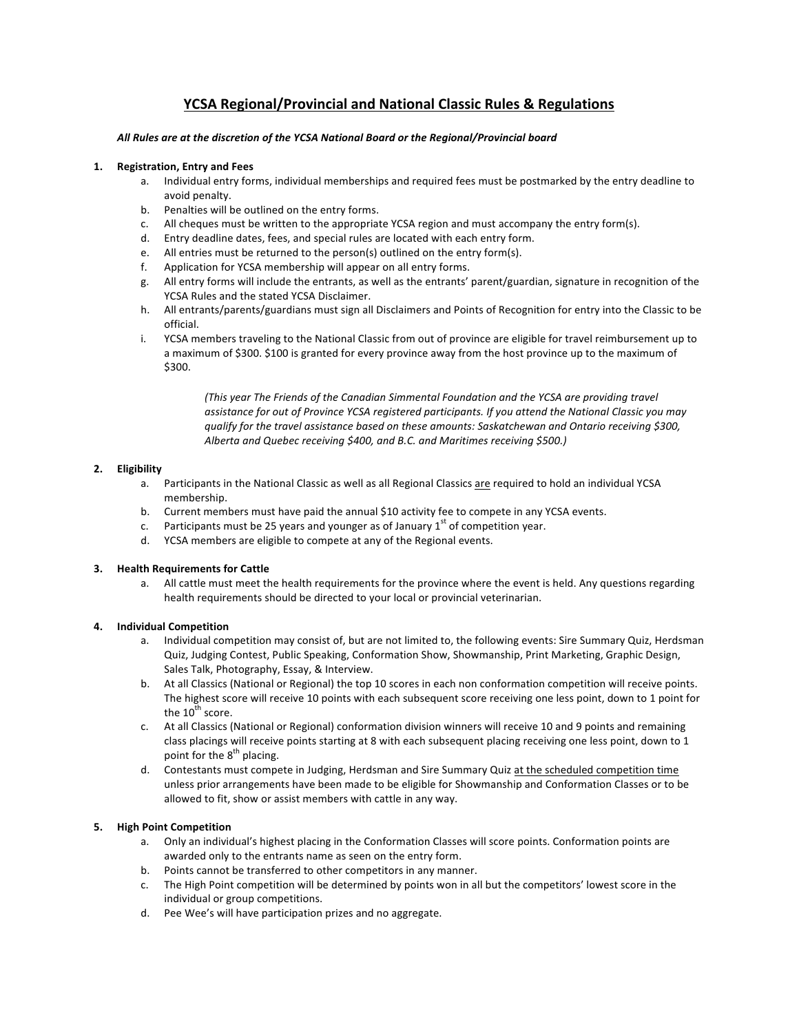# **YCSA Regional/Provincial and National Classic Rules & Regulations**

# All Rules are at the discretion of the YCSA National Board or the Regional/Provincial board

### **1. Registration, Entry and Fees**

- a. Individual entry forms, individual memberships and required fees must be postmarked by the entry deadline to avoid penalty.
- b. Penalties will be outlined on the entry forms.
- c. All cheques must be written to the appropriate YCSA region and must accompany the entry form(s).
- d. Entry deadline dates, fees, and special rules are located with each entry form.
- e. All entries must be returned to the person(s) outlined on the entry form(s).<br>f. Application for YCSA membership will appear on all entry forms.
- Application for YCSA membership will appear on all entry forms.
- g. All entry forms will include the entrants, as well as the entrants' parent/guardian, signature in recognition of the YCSA Rules and the stated YCSA Disclaimer.
- h. All entrants/parents/guardians must sign all Disclaimers and Points of Recognition for entry into the Classic to be official.
- i. YCSA members traveling to the National Classic from out of province are eligible for travel reimbursement up to a maximum of \$300. \$100 is granted for every province away from the host province up to the maximum of \$300.

*(This year The Friends of the Canadian Simmental Foundation and the YCSA are providing travel* assistance for out of Province YCSA registered participants. If you attend the National Classic you may qualify for the travel assistance based on these amounts: Saskatchewan and Ontario receiving \$300, Alberta and Quebec receiving \$400, and B.C. and Maritimes receiving \$500.)

# **2. Eligibility**

- a. Participants in the National Classic as well as all Regional Classics are required to hold an individual YCSA membership.
- b. Current members must have paid the annual \$10 activity fee to compete in any YCSA events.
- c. Participants must be 25 years and younger as of January  $1<sup>st</sup>$  of competition year.
- d. YCSA members are eligible to compete at any of the Regional events.

# **3. Health Requirements for Cattle**

a. All cattle must meet the health requirements for the province where the event is held. Any questions regarding health requirements should be directed to your local or provincial veterinarian.

# **4. Individual Competition**

- a. Individual competition may consist of, but are not limited to, the following events: Sire Summary Quiz, Herdsman Quiz, Judging Contest, Public Speaking, Conformation Show, Showmanship, Print Marketing, Graphic Design, Sales Talk, Photography, Essay, & Interview.
- b. At all Classics (National or Regional) the top 10 scores in each non conformation competition will receive points. The highest score will receive 10 points with each subsequent score receiving one less point, down to 1 point for the  $10^{th}$  score.
- c. At all Classics (National or Regional) conformation division winners will receive 10 and 9 points and remaining class placings will receive points starting at 8 with each subsequent placing receiving one less point, down to 1 point for the  $8^{th}$  placing.
- d. Contestants must compete in Judging, Herdsman and Sire Summary Quiz at the scheduled competition time unless prior arrangements have been made to be eligible for Showmanship and Conformation Classes or to be allowed to fit, show or assist members with cattle in any way.

# **5. High Point Competition**

- a. Only an individual's highest placing in the Conformation Classes will score points. Conformation points are awarded only to the entrants name as seen on the entry form.
- b. Points cannot be transferred to other competitors in any manner.
- c. The High Point competition will be determined by points won in all but the competitors' lowest score in the individual or group competitions.
- d. Pee Wee's will have participation prizes and no aggregate.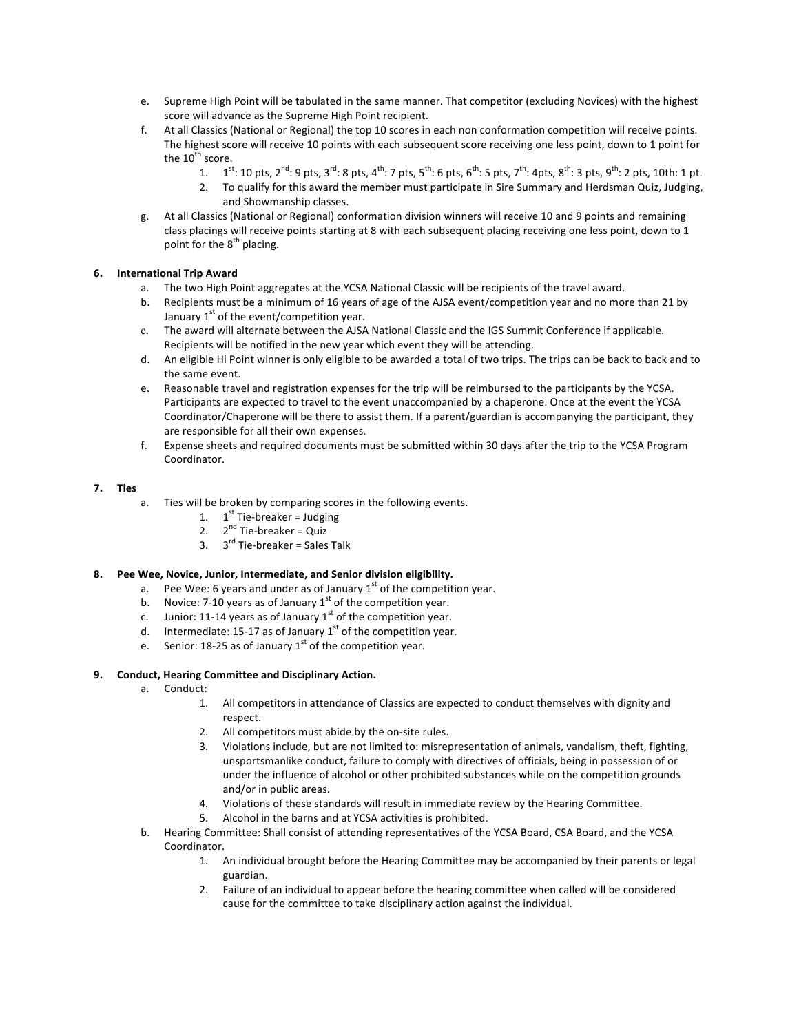- e. Supreme High Point will be tabulated in the same manner. That competitor (excluding Novices) with the highest score will advance as the Supreme High Point recipient.
- f. At all Classics (National or Regional) the top 10 scores in each non conformation competition will receive points. The highest score will receive 10 points with each subsequent score receiving one less point, down to 1 point for the  $10^{th}$  score.
	- 1.  $1^{st}$ : 10 pts,  $2^{nd}$ : 9 pts,  $3^{rd}$ : 8 pts,  $4^{th}$ : 7 pts,  $5^{th}$ : 6 pts,  $6^{th}$ : 5 pts,  $7^{th}$ : 4 pts,  $8^{th}$ : 3 pts,  $9^{th}$ : 2 pts, 10th: 1 pt.
	- 2. To qualify for this award the member must participate in Sire Summary and Herdsman Quiz, Judging, and Showmanship classes.
- g. At all Classics (National or Regional) conformation division winners will receive 10 and 9 points and remaining class placings will receive points starting at 8 with each subsequent placing receiving one less point, down to 1 point for the  $8<sup>th</sup>$  placing.

# **6. International Trip Award**

- a. The two High Point aggregates at the YCSA National Classic will be recipients of the travel award.
- b. Recipients must be a minimum of 16 years of age of the AJSA event/competition year and no more than 21 by January  $1<sup>st</sup>$  of the event/competition year.
- c. The award will alternate between the AJSA National Classic and the IGS Summit Conference if applicable. Recipients will be notified in the new year which event they will be attending.
- d. An eligible Hi Point winner is only eligible to be awarded a total of two trips. The trips can be back to back and to the same event.
- e. Reasonable travel and registration expenses for the trip will be reimbursed to the participants by the YCSA. Participants are expected to travel to the event unaccompanied by a chaperone. Once at the event the YCSA Coordinator/Chaperone will be there to assist them. If a parent/guardian is accompanying the participant, they are responsible for all their own expenses.
- f. Expense sheets and required documents must be submitted within 30 days after the trip to the YCSA Program Coordinator.

# **7. Ties**

- a. Ties will be broken by comparing scores in the following events.
	- 1.  $1^{st}$  Tie-breaker = Judging
	- 2.  $2<sup>nd</sup>$  Tie-breaker = Quiz
	- 3.  $3^{rd}$  Tie-breaker = Sales Talk

# 8. Pee Wee, Novice, Junior, Intermediate, and Senior division eligibility.

- a. Pee Wee: 6 years and under as of January  $1<sup>st</sup>$  of the competition year.
- b. Novice: 7-10 years as of January  $1<sup>st</sup>$  of the competition year.
- c. Junior: 11-14 years as of January  $1<sup>st</sup>$  of the competition year.
- d. Intermediate: 15-17 as of January  $1<sup>st</sup>$  of the competition year.
- e. Senior: 18-25 as of January  $1<sup>st</sup>$  of the competition year.

# 9. **Conduct, Hearing Committee and Disciplinary Action.**

- a. Conduct:
	- 1. All competitors in attendance of Classics are expected to conduct themselves with dignity and respect.
	- 2. All competitors must abide by the on-site rules.
	- 3. Violations include, but are not limited to: misrepresentation of animals, vandalism, theft, fighting, unsportsmanlike conduct, failure to comply with directives of officials, being in possession of or under the influence of alcohol or other prohibited substances while on the competition grounds and/or in public areas.
	- 4. Violations of these standards will result in immediate review by the Hearing Committee.
	- 5. Alcohol in the barns and at YCSA activities is prohibited.
- b. Hearing Committee: Shall consist of attending representatives of the YCSA Board, CSA Board, and the YCSA Coordinator.
	- 1. An individual brought before the Hearing Committee may be accompanied by their parents or legal guardian.
	- 2. Failure of an individual to appear before the hearing committee when called will be considered cause for the committee to take disciplinary action against the individual.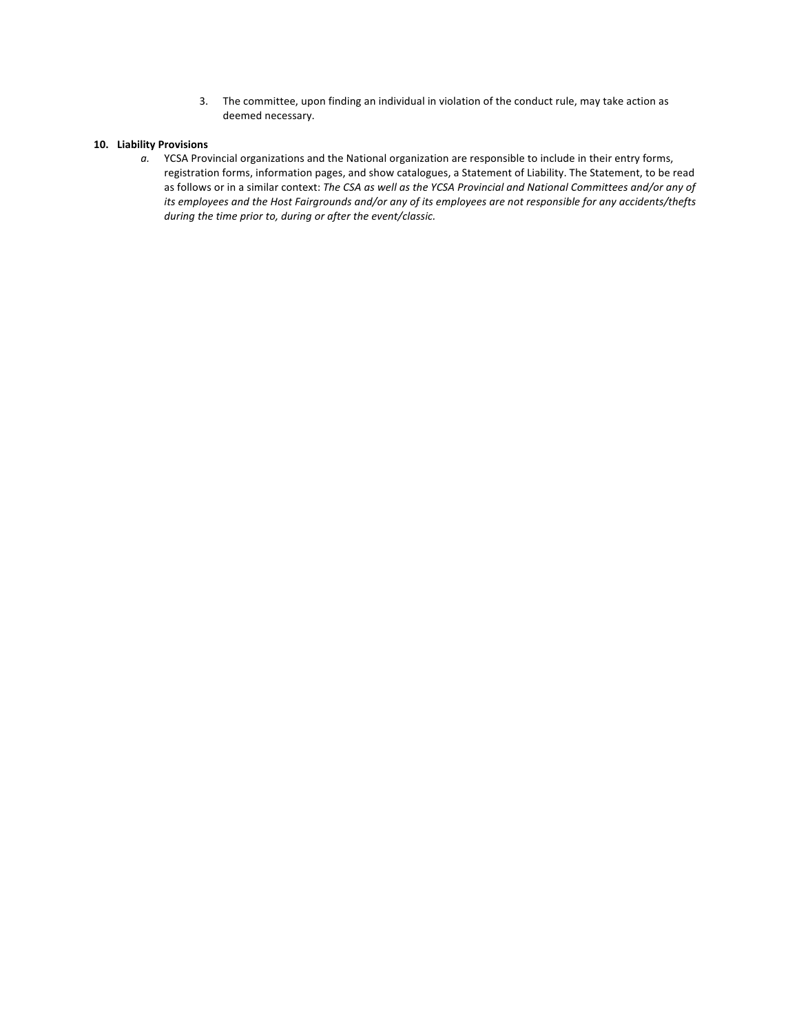3. The committee, upon finding an individual in violation of the conduct rule, may take action as deemed necessary.

## **10. Liability Provisions**

a. YCSA Provincial organizations and the National organization are responsible to include in their entry forms, registration forms, information pages, and show catalogues, a Statement of Liability. The Statement, to be read as follows or in a similar context: The CSA as well as the YCSA Provincial and National Committees and/or any of *its* employees and the Host Fairgrounds and/or any of its employees are not responsible for any accidents/thefts *during the time prior to, during or after the event/classic.*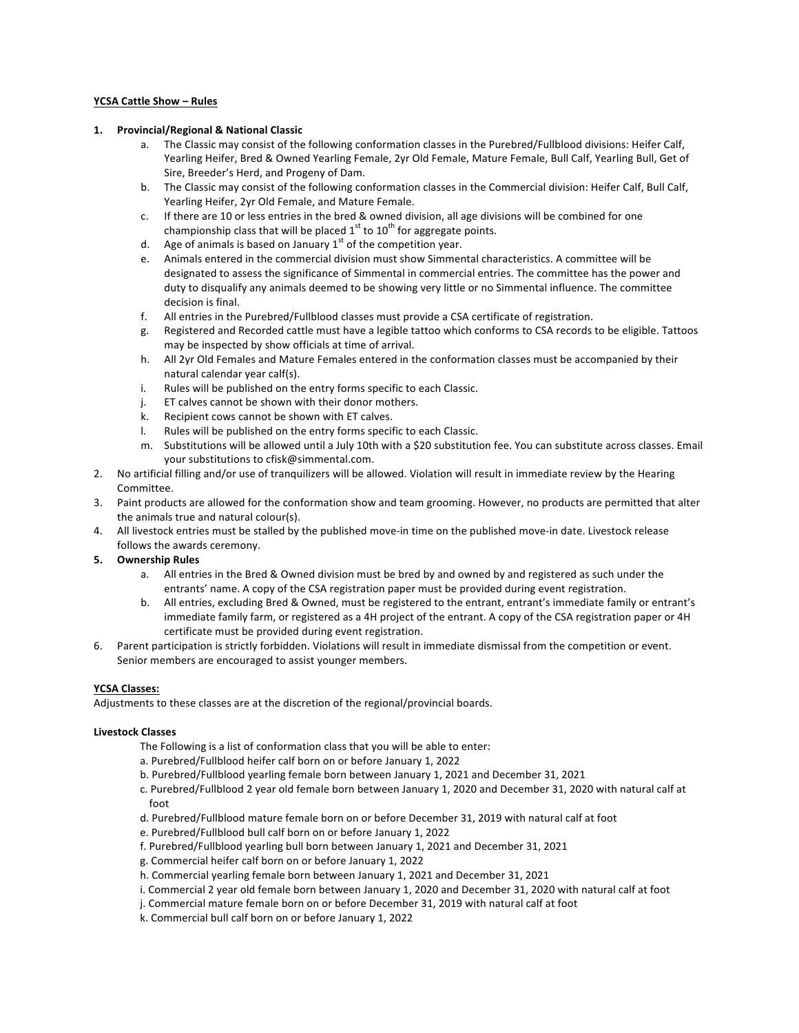### **YCSA Cattle Show – Rules**

### **1. Provincial/Regional & National Classic**

- a. The Classic may consist of the following conformation classes in the Purebred/Fullblood divisions: Heifer Calf, Yearling Heifer, Bred & Owned Yearling Female, 2yr Old Female, Mature Female, Bull Calf, Yearling Bull, Get of Sire, Breeder's Herd, and Progeny of Dam.
- b. The Classic may consist of the following conformation classes in the Commercial division: Heifer Calf, Bull Calf, Yearling Heifer, 2yr Old Female, and Mature Female.
- c. If there are 10 or less entries in the bred & owned division, all age divisions will be combined for one championship class that will be placed  $1<sup>st</sup>$  to  $10<sup>th</sup>$  for aggregate points.
- d. Age of animals is based on January  $1<sup>st</sup>$  of the competition year.
- e. Animals entered in the commercial division must show Simmental characteristics. A committee will be designated to assess the significance of Simmental in commercial entries. The committee has the power and duty to disqualify any animals deemed to be showing very little or no Simmental influence. The committee decision is final.
- f. All entries in the Purebred/Fullblood classes must provide a CSA certificate of registration.
- g. Registered and Recorded cattle must have a legible tattoo which conforms to CSA records to be eligible. Tattoos may be inspected by show officials at time of arrival.
- h. All 2yr Old Females and Mature Females entered in the conformation classes must be accompanied by their natural calendar year calf(s).
- i. Rules will be published on the entry forms specific to each Classic.
- j. ET calves cannot be shown with their donor mothers.
- k. Recipient cows cannot be shown with ET calves.
- l. Rules will be published on the entry forms specific to each Classic.
- m. Substitutions will be allowed until a July 10th with a \$20 substitution fee. You can substitute across classes. Email your substitutions to cfisk@simmental.com.
- 2. No artificial filling and/or use of tranquilizers will be allowed. Violation will result in immediate review by the Hearing Committee.
- 3. Paint products are allowed for the conformation show and team grooming. However, no products are permitted that alter the animals true and natural colour(s).
- 4. All livestock entries must be stalled by the published move-in time on the published move-in date. Livestock release follows the awards ceremony.

# **5. Ownership Rules**

- a. All entries in the Bred & Owned division must be bred by and owned by and registered as such under the entrants' name. A copy of the CSA registration paper must be provided during event registration.
- b. All entries, excluding Bred & Owned, must be registered to the entrant, entrant's immediate family or entrant's immediate family farm, or registered as a 4H project of the entrant. A copy of the CSA registration paper or 4H certificate must be provided during event registration.
- 6. Parent participation is strictly forbidden. Violations will result in immediate dismissal from the competition or event. Senior members are encouraged to assist younger members.

# **YCSA Classes:**

Adjustments to these classes are at the discretion of the regional/provincial boards.

# **Livestock Classes**

- The Following is a list of conformation class that you will be able to enter:
- a. Purebred/Fullblood heifer calf born on or before January 1, 2022
- b. Purebred/Fullblood yearling female born between January 1, 2021 and December 31, 2021
- c. Purebred/Fullblood 2 year old female born between January 1, 2020 and December 31, 2020 with natural calf at foot
- d. Purebred/Fullblood mature female born on or before December 31, 2019 with natural calf at foot
- e. Purebred/Fullblood bull calf born on or before January 1, 2022
- f. Purebred/Fullblood yearling bull born between January 1, 2021 and December 31, 2021
- g. Commercial heifer calf born on or before January 1, 2022
- h. Commercial yearling female born between January 1, 2021 and December 31, 2021
- i. Commercial 2 year old female born between January 1, 2020 and December 31, 2020 with natural calf at foot
- j. Commercial mature female born on or before December 31, 2019 with natural calf at foot
- k. Commercial bull calf born on or before January 1, 2022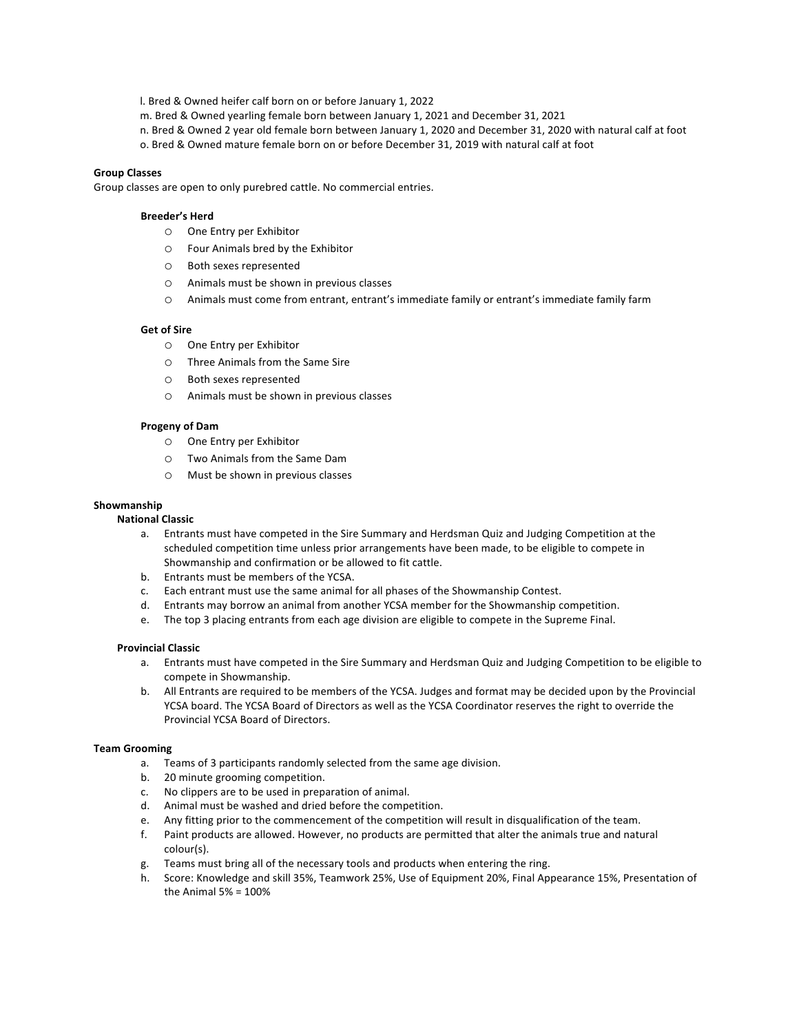l. Bred & Owned heifer calf born on or before January 1, 2022

m. Bred & Owned yearling female born between January 1, 2021 and December 31, 2021

n. Bred & Owned 2 year old female born between January 1, 2020 and December 31, 2020 with natural calf at foot

o. Bred & Owned mature female born on or before December 31, 2019 with natural calf at foot

### **Group Classes**

Group classes are open to only purebred cattle. No commercial entries.

### **Breeder's Herd**

- O One Entry per Exhibitor
- o Four Animals bred by the Exhibitor
- o Both sexes represented
- $\circ$  Animals must be shown in previous classes
- $\circ$  Animals must come from entrant, entrant's immediate family or entrant's immediate family farm

#### **Get of Sire**

- O One Entry per Exhibitor
- o Three Animals from the Same Sire
- o Both sexes represented
- $O$  Animals must be shown in previous classes

### **Progeny of Dam**

- O One Entry per Exhibitor
- o Two Animals from the Same Dam
- $\circ$  Must be shown in previous classes

### **Showmanship**

### **National Classic**

- a. Entrants must have competed in the Sire Summary and Herdsman Quiz and Judging Competition at the scheduled competition time unless prior arrangements have been made, to be eligible to compete in Showmanship and confirmation or be allowed to fit cattle.
- b. Entrants must be members of the YCSA.
- c. Each entrant must use the same animal for all phases of the Showmanship Contest.
- d. Entrants may borrow an animal from another YCSA member for the Showmanship competition.
- e. The top 3 placing entrants from each age division are eligible to compete in the Supreme Final.

## **Provincial Classic**

- a. Entrants must have competed in the Sire Summary and Herdsman Quiz and Judging Competition to be eligible to compete in Showmanship.
- b. All Entrants are required to be members of the YCSA. Judges and format may be decided upon by the Provincial YCSA board. The YCSA Board of Directors as well as the YCSA Coordinator reserves the right to override the Provincial YCSA Board of Directors.

#### **Team Grooming**

- a. Teams of 3 participants randomly selected from the same age division.
- b. 20 minute grooming competition.
- c. No clippers are to be used in preparation of animal.
- d. Animal must be washed and dried before the competition.
- e. Any fitting prior to the commencement of the competition will result in disqualification of the team.
- f. Paint products are allowed. However, no products are permitted that alter the animals true and natural colour(s).
- g. Teams must bring all of the necessary tools and products when entering the ring.
- h. Score: Knowledge and skill 35%, Teamwork 25%, Use of Equipment 20%, Final Appearance 15%, Presentation of the Animal  $5\% = 100\%$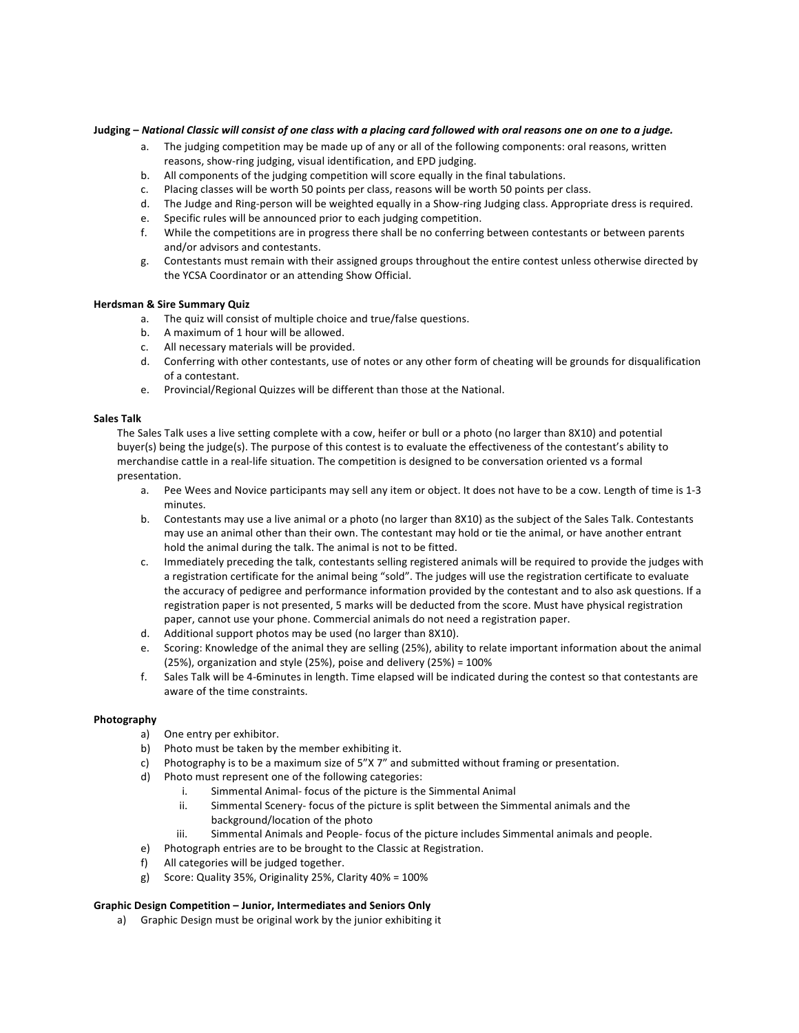### Judging - National Classic will consist of one class with a placing card followed with oral reasons one on one to a judge.

- a. The judging competition may be made up of any or all of the following components: oral reasons, written reasons, show-ring judging, visual identification, and EPD judging.
- b. All components of the judging competition will score equally in the final tabulations.
- c. Placing classes will be worth 50 points per class, reasons will be worth 50 points per class.
- d. The Judge and Ring-person will be weighted equally in a Show-ring Judging class. Appropriate dress is required.
- e. Specific rules will be announced prior to each judging competition.
- f. While the competitions are in progress there shall be no conferring between contestants or between parents and/or advisors and contestants.
- g. Contestants must remain with their assigned groups throughout the entire contest unless otherwise directed by the YCSA Coordinator or an attending Show Official.

### **Herdsman & Sire Summary Quiz**

- a. The quiz will consist of multiple choice and true/false questions.
- b. A maximum of 1 hour will be allowed.
- c. All necessary materials will be provided.
- d. Conferring with other contestants, use of notes or any other form of cheating will be grounds for disqualification of a contestant.
- e. Provincial/Regional Quizzes will be different than those at the National.

### **Sales Talk**

The Sales Talk uses a live setting complete with a cow, heifer or bull or a photo (no larger than 8X10) and potential buyer(s) being the judge(s). The purpose of this contest is to evaluate the effectiveness of the contestant's ability to merchandise cattle in a real-life situation. The competition is designed to be conversation oriented vs a formal presentation. 

- a. Pee Wees and Novice participants may sell any item or object. It does not have to be a cow. Length of time is 1-3 minutes.
- b. Contestants may use a live animal or a photo (no larger than 8X10) as the subject of the Sales Talk. Contestants may use an animal other than their own. The contestant may hold or tie the animal, or have another entrant hold the animal during the talk. The animal is not to be fitted.
- c. Immediately preceding the talk, contestants selling registered animals will be required to provide the judges with a registration certificate for the animal being "sold". The judges will use the registration certificate to evaluate the accuracy of pedigree and performance information provided by the contestant and to also ask questions. If a registration paper is not presented, 5 marks will be deducted from the score. Must have physical registration paper, cannot use your phone. Commercial animals do not need a registration paper.
- d. Additional support photos may be used (no larger than 8X10).
- e. Scoring: Knowledge of the animal they are selling (25%), ability to relate important information about the animal (25%), organization and style (25%), poise and delivery (25%) =  $100\%$
- f. Sales Talk will be 4-6minutes in length. Time elapsed will be indicated during the contest so that contestants are aware of the time constraints.

### **Photography**

- a) One entry per exhibitor.
- b) Photo must be taken by the member exhibiting it.
- c) Photography is to be a maximum size of 5"X 7" and submitted without framing or presentation.
- d) Photo must represent one of the following categories:
	- i. Simmental Animal- focus of the picture is the Simmental Animal
	- ii. Simmental Scenery- focus of the picture is split between the Simmental animals and the background/location of the photo
	- iii. Simmental Animals and People- focus of the picture includes Simmental animals and people.
- e) Photograph entries are to be brought to the Classic at Registration.
- f) All categories will be judged together.
- g) Score: Quality 35%, Originality 25%, Clarity  $40\% = 100\%$

### Graphic Design Competition – Junior, Intermediates and Seniors Only

a) Graphic Design must be original work by the junior exhibiting it